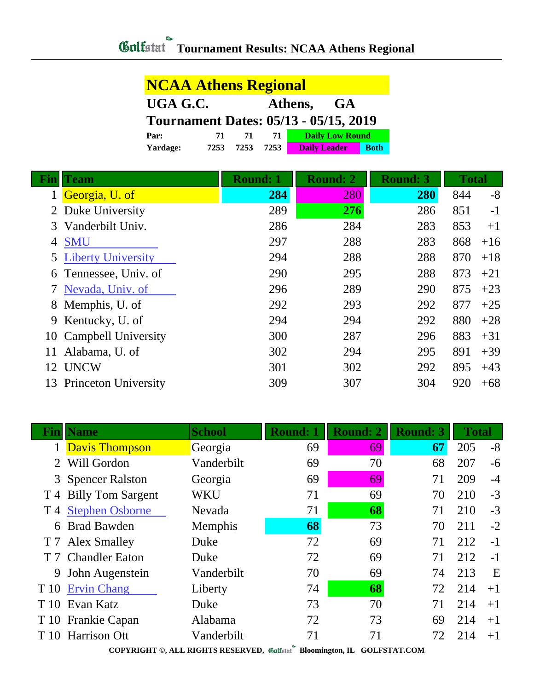## *Gulfatat* Tournament Results: NCAA Athens Regional

## **NCAA Athens Regional UGA G.C. Athens, GA Tournament Dates: 05/13 - 05/15, 2019 Par: 71 71 71 Daily Low Round Yardage: 7253 7253 7253 Daily Leader Both**

| Fin | <b>Team</b>                 | <b>Round: 1</b> | <b>Round: 2</b> | <b>Round: 3</b> | <b>Total</b> |       |
|-----|-----------------------------|-----------------|-----------------|-----------------|--------------|-------|
|     | Georgia, U. of              | 284             | 280             | 280             | 844          | $-8$  |
|     | Duke University             | 289             | 276             | 286             | 851          | $-1$  |
| 3   | Vanderbilt Univ.            | 286             | 284             | 283             | 853          | $+1$  |
| 4   | <b>SMU</b>                  | 297             | 288             | 283             | 868          | $+16$ |
|     | <b>5</b> Liberty University | 294             | 288             | 288             | 870          | $+18$ |
|     | 6 Tennessee, Univ. of       | 290             | 295             | 288             | 873          | $+21$ |
|     | Nevada, Univ. of            | 296             | 289             | 290             | 875          | $+23$ |
| 8   | Memphis, U. of              | 292             | 293             | 292             | 877          | $+25$ |
|     | 9 Kentucky, U. of           | 294             | 294             | 292             | 880          | $+28$ |
| 10  | <b>Campbell University</b>  | 300             | 287             | 296             | 883          | $+31$ |
| 11  | Alabama, U. of              | 302             | 294             | 295             | 891          | $+39$ |
| 12  | <b>UNCW</b>                 | 301             | 302             | 292             | 895          | $+43$ |
| 13  | <b>Princeton University</b> | 309             | 307             | 304             | 920          | $+68$ |

| Fin  | <b>Name</b>           | <b>School</b> | <b>Round: 1</b> | <b>Round: 2</b> | <b>Round: 3</b> | <b>Total</b> |      |
|------|-----------------------|---------------|-----------------|-----------------|-----------------|--------------|------|
|      | <b>Davis Thompson</b> | Georgia       | 69              | 69              | 67              | 205          | $-8$ |
| 2    | Will Gordon           | Vanderbilt    | 69              | 70              | 68              | 207          | $-6$ |
|      | 3 Spencer Ralston     | Georgia       | 69              | 69              | 71              | 209          | $-4$ |
|      | T 4 Billy Tom Sargent | <b>WKU</b>    | 71              | 69              | 70              | 210          | $-3$ |
|      | T 4 Stephen Osborne   | <b>Nevada</b> | 71              | 68              | 71              | 210          | $-3$ |
| 6    | <b>Brad Bawden</b>    | Memphis       | 68              | 73              | 70              | 211          | $-2$ |
|      | T 7 Alex Smalley      | Duke          | 72              | 69              | 71              | 212          | $-1$ |
|      | T 7 Chandler Eaton    | Duke          | 72              | 69              | 71              | 212          | $-1$ |
| 9    | John Augenstein       | Vanderbilt    | 70              | 69              | 74              | 213          | E    |
| T 10 | <b>Ervin Chang</b>    | Liberty       | 74              | 68              | 72              | 214          | $+1$ |
|      | T 10 Evan Katz        | Duke          | 73              | 70              | 71              | 214          | $+1$ |
|      | T 10 Frankie Capan    | Alabama       | 72              | 73              | 69              | 214          | $+1$ |
| T 10 | <b>Harrison Ott</b>   | Vanderbilt    | 71              | 71              | 72              | 214          | $+1$ |
|      |                       |               |                 |                 |                 |              |      |

Г

**COPYRIGHT ©, ALL RIGHTS RESERVED, Bloomington, IL GOLFSTAT.COM**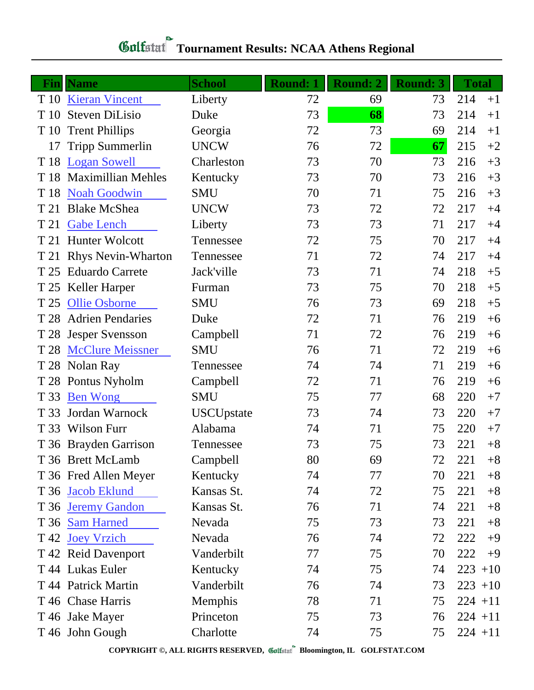## **Gulfatat** Tournament Results: NCAA Athens Regional

| Fin  | <b>Name</b>               | <b>School</b>     | <b>Round: 1</b> | <b>Round: 2</b> | <b>Round: 3</b> | <b>Total</b> |      |
|------|---------------------------|-------------------|-----------------|-----------------|-----------------|--------------|------|
| T 10 | <b>Kieran Vincent</b>     | Liberty           | 72              | 69              | 73              | 214<br>$+1$  |      |
| T 10 | <b>Steven DiLisio</b>     | Duke              | 73              | 68              | 73              | 214<br>$+1$  |      |
| T 10 | <b>Trent Phillips</b>     | Georgia           | 72              | 73              | 69              | 214<br>$+1$  |      |
| 17   | <b>Tripp Summerlin</b>    | <b>UNCW</b>       | 76              | 72              | 67              | 215<br>$+2$  |      |
| T 18 | <b>Logan Sowell</b>       | Charleston        | 73              | 70              | 73              | 216<br>$+3$  |      |
| T 18 | <b>Maximillian Mehles</b> | Kentucky          | 73              | 70              | 73              | 216<br>$+3$  |      |
| T 18 | <b>Noah Goodwin</b>       | <b>SMU</b>        | 70              | 71              | 75              | 216<br>$+3$  |      |
| T 21 | <b>Blake McShea</b>       | <b>UNCW</b>       | 73              | 72              | 72              | 217<br>$+4$  |      |
| T 21 | <b>Gabe Lench</b>         | Liberty           | 73              | 73              | 71              | 217<br>$+4$  |      |
| T 21 | <b>Hunter Wolcott</b>     | Tennessee         | 72              | 75              | 70              | 217<br>$+4$  |      |
| T 21 | <b>Rhys Nevin-Wharton</b> | Tennessee         | 71              | 72              | 74              | 217<br>$+4$  |      |
| T 25 | <b>Eduardo Carrete</b>    | Jack'ville        | 73              | 71              | 74              | 218<br>$+5$  |      |
| T 25 | Keller Harper             | Furman            | 73              | 75              | 70              | 218<br>$+5$  |      |
| T 25 | <b>Ollie Osborne</b>      | <b>SMU</b>        | 76              | 73              | 69              | 218<br>$+5$  |      |
| T 28 | <b>Adrien Pendaries</b>   | Duke              | 72              | 71              | 76              | 219          | $+6$ |
| T 28 | <b>Jesper Svensson</b>    | Campbell          | 71              | 72              | 76              | 219          | $+6$ |
| T 28 | <b>McClure Meissner</b>   | <b>SMU</b>        | 76              | 71              | 72              | 219          | $+6$ |
| T 28 | Nolan Ray                 | Tennessee         | 74              | 74              | 71              | 219<br>$+6$  |      |
|      | T 28 Pontus Nyholm        | Campbell          | 72              | 71              | 76              | 219          | $+6$ |
| T 33 | <b>Ben Wong</b>           | <b>SMU</b>        | 75              | 77              | 68              | 220<br>$+7$  |      |
| T 33 | Jordan Warnock            | <b>USCUpstate</b> | 73              | 74              | 73              | 220<br>$+7$  |      |
| T 33 | <b>Wilson Furr</b>        | Alabama           | 74              | 71              | 75              | 220<br>$+7$  |      |
|      | T 36 Brayden Garrison     | Tennessee         | 73              | 75              | 73              | 221          | $+8$ |
|      | T 36 Brett McLamb         | Campbell          | 80              | 69              | 72              | 221          | $+8$ |
|      | T 36 Fred Allen Meyer     | Kentucky          | 74              | 77              | 70              | 221          | $+8$ |
|      | T 36 Jacob Eklund         | Kansas St.        | 74              | 72              | 75              | 221          | $+8$ |
| T 36 | <b>Jeremy Gandon</b>      | Kansas St.        | 76              | 71              | 74              | 221          | $+8$ |
|      | T 36 Sam Harned           | Nevada            | 75              | 73              | 73              | 221          | $+8$ |
| T 42 | <b>Joey Vrzich</b>        | Nevada            | 76              | 74              | 72              | 222<br>$+9$  |      |
|      | T 42 Reid Davenport       | Vanderbilt        | 77              | 75              | 70              | 222          | $+9$ |
|      | T 44 Lukas Euler          | Kentucky          | 74              | 75              | 74              | $223 + 10$   |      |
|      | T 44 Patrick Martin       | Vanderbilt        | 76              | 74              | 73              | $223 + 10$   |      |
|      | T 46 Chase Harris         | Memphis           | 78              | 71              | 75              | $224 + 11$   |      |
|      | T 46 Jake Mayer           | Princeton         | 75              | 73              | 76              | $224 + 11$   |      |
|      | T 46 John Gough           | Charlotte         | 74              | 75              | 75              | $224 + 11$   |      |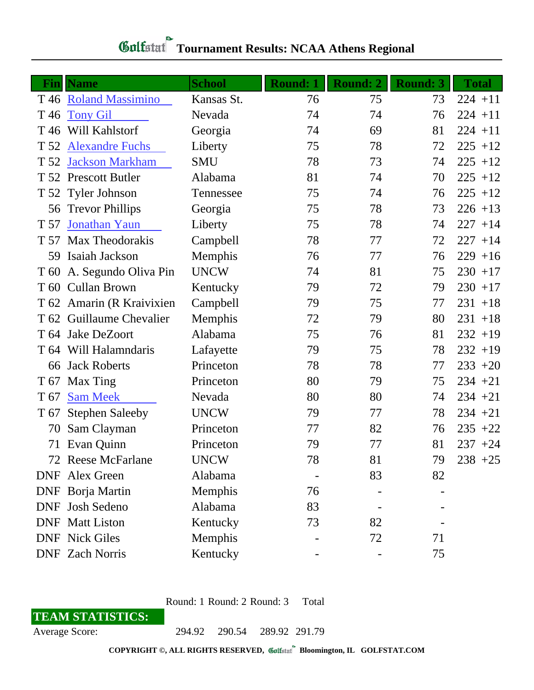| Fin             | <b>Name</b>               | <b>School</b> | <b>Round: 1</b> | <b>Round: 2</b> | <b>Round: 3</b> | <b>Total</b> |
|-----------------|---------------------------|---------------|-----------------|-----------------|-----------------|--------------|
|                 | T 46 Roland Massimino     | Kansas St.    | 76              | 75              | 73              | $224 + 11$   |
| T 46            | <b>Tony Gil</b>           | Nevada        | 74              | 74              | 76              | $224 + 11$   |
| T <sub>46</sub> | Will Kahlstorf            | Georgia       | 74              | 69              | 81              | $224 + 11$   |
|                 | T 52 Alexandre Fuchs      | Liberty       | 75              | 78              | 72              | $225 + 12$   |
| T 52            | <b>Jackson Markham</b>    | <b>SMU</b>    | 78              | 73              | 74              | $225 + 12$   |
|                 | T 52 Prescott Butler      | Alabama       | 81              | 74              | 70              | $225 + 12$   |
|                 | T 52 Tyler Johnson        | Tennessee     | 75              | 74              | 76              | $225 + 12$   |
| 56              | <b>Trevor Phillips</b>    | Georgia       | 75              | 78              | 73              | $226 + 13$   |
| T 57            | Jonathan Yaun             | Liberty       | 75              | 78              | 74              | $227 + 14$   |
| T 57            | Max Theodorakis           | Campbell      | 78              | 77              | 72              | $227 + 14$   |
| 59              | Isaiah Jackson            | Memphis       | 76              | 77              | 76              | $229 + 16$   |
| T <sub>60</sub> | A. Segundo Oliva Pin      | <b>UNCW</b>   | 74              | 81              | 75              | $230 + 17$   |
|                 | T 60 Cullan Brown         | Kentucky      | 79              | 72              | 79              | $230 + 17$   |
|                 | T 62 Amarin (R Kraivixien | Campbell      | 79              | 75              | 77              | $231 + 18$   |
|                 | T 62 Guillaume Chevalier  | Memphis       | 72              | 79              | 80              | $231 + 18$   |
| T 64            | Jake DeZoort              | Alabama       | 75              | 76              | 81              | $232 + 19$   |
| T 64            | Will Halamndaris          | Lafayette     | 79              | 75              | 78              | $232 + 19$   |
| 66              | <b>Jack Roberts</b>       | Princeton     | 78              | 78              | 77              | $233 + 20$   |
| T 67            | Max Ting                  | Princeton     | 80              | 79              | 75              | $234 + 21$   |
| T 67            | <b>Sam Meek</b>           | Nevada        | 80              | 80              | 74              | $234 + 21$   |
| T 67            | <b>Stephen Saleeby</b>    | <b>UNCW</b>   | 79              | 77              | 78              | $234 + 21$   |
| 70              | Sam Clayman               | Princeton     | 77              | 82              | 76              | $235 + 22$   |
| 71              | Evan Quinn                | Princeton     | 79              | 77              | 81              | $237 + 24$   |
|                 | 72 Reese McFarlane        | <b>UNCW</b>   | 78              | 81              | 79              | $238 + 25$   |
|                 | <b>DNF</b> Alex Green     | Alabama       |                 | 83              | 82              |              |
|                 | DNF Borja Martin          | Memphis       | 76              |                 |                 |              |
|                 | DNF Josh Sedeno           | Alabama       | 83              |                 |                 |              |
|                 | <b>DNF</b> Matt Liston    | Kentucky      | 73              | 82              |                 |              |
|                 | <b>DNF</b> Nick Giles     | Memphis       |                 | 72              | 71              |              |
|                 | <b>DNF</b> Zach Norris    | Kentucky      |                 |                 | 75              |              |

## **Tournament Results: NCAA Athens Regional**

Round: 1 Round: 2 Round: 3 Total

**TEAM STATISTICS:**

Average Score: 294.92 290.54 289.92 291.79

**COPYRIGHT ©, ALL RIGHTS RESERVED, Bloomington, IL GOLFSTAT.COM**